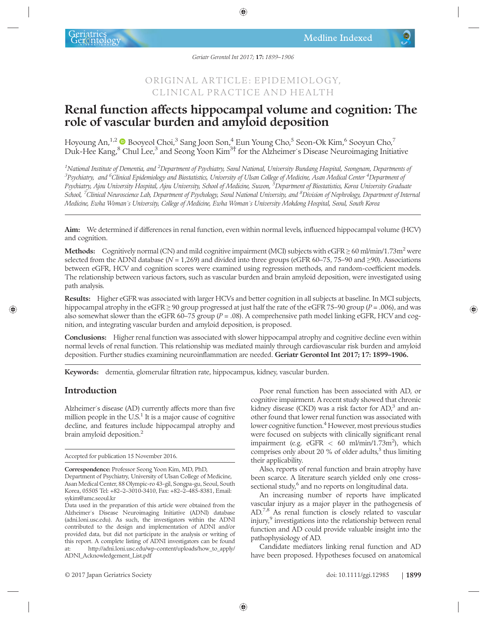# ORIGINAL ARTICLE: EPIDEMIOLOGY, CLINICAL PRACTICE AND HEALTH

# Renal function affects hippocampal volume and cognition: The role of vascular burden and amyloid deposition

Hoyoung An,<sup>1,2</sup> Booyeol Choi,<sup>3</sup> Sang Joon Son,<sup>4</sup> Eun Young Cho,<sup>5</sup> Seon-Ok Kim,<sup>6</sup> Sooyun Cho,<sup>7</sup> Duk-Hee Kang,<sup>8</sup> Chul Lee,<sup>3</sup> and Seong Yoon Kim<sup>3†</sup> for the Alzheimer's Disease Neuroimaging Initiative

 $^{\rm 1}$ National Institute of Dementia, and  $^{\rm 2}$ Department of Psychiatry, Seoul National, University Bundang Hospital, Seongnam, Departments of  $^3$ Psychiatry, and  $^6$ Clinical Epidemiology and Biostatistics, University of Ulsan College of Medicine, Asan Medical Center  $^4$ Department oj Psychiatry, Ajou University Hospital, Ajou University, School of Medicine, Suwon, <sup>5</sup>Department of Biostatistics, Korea University Graduate School, <sup>7</sup>Clinical Neuroscience Lab, Department of Psychology, Seoul National University, and <sup>8</sup>Division of Nephrology, Department of Internal Medicine, Ewha Womanˈs University, College of Medicine, Ewha Womanˈs University Mokdong Hospital, Seoul, South Korea

Aim: We determined if differences in renal function, even within normal levels, influenced hippocampal volume (HCV) and cognition.

Methods: Cognitively normal (CN) and mild cognitive impairment (MCI) subjects with  $e$ GFR  $\geq$  60 ml/min/1.73m<sup>2</sup> were selected from the ADNI database ( $N = 1,269$ ) and divided into three groups (eGFR 60–75, 75–90 and ≥90). Associations between eGFR, HCV and cognition scores were examined using regression methods, and random-coefficient models. The relationship between various factors, such as vascular burden and brain amyloid deposition, were investigated using path analysis.

Results: Higher eGFR was associated with larger HCVs and better cognition in all subjects at baseline. In MCI subjects, hippocampal atrophy in the eGFR  $\geq$  90 group progressed at just half the rate of the eGFR 75–90 group (P = .006), and was also somewhat slower than the eGFR 60–75 group ( $P = .08$ ). A comprehensive path model linking eGFR, HCV and cognition, and integrating vascular burden and amyloid deposition, is proposed.

Conclusions: Higher renal function was associated with slower hippocampal atrophy and cognitive decline even within normal levels of renal function. This relationship was mediated mainly through cardiovascular risk burden and amyloid deposition. Further studies examining neuroinflammation are needed. Geriatr Gerontol Int 2017; 17: 1899–1906.

Keywords: dementia, glomerular filtration rate, hippocampus, kidney, vascular burden.

## Introduction

Alzheimer's disease (AD) currently affects more than five million people in the  $U.S.<sup>1</sup>$  It is a major cause of cognitive decline, and features include hippocampal atrophy and brain amyloid deposition.<sup>2</sup>

Accepted for publication 15 November 2016.

Poor renal function has been associated with AD, or cognitive impairment. A recent study showed that chronic kidney disease (CKD) was a risk factor for  $AD$ ,<sup>3</sup> and another found that lower renal function was associated with lower cognitive function.<sup>4</sup> However, most previous studies were focused on subjects with clinically significant renal impairment (e.g.  $eGFR < 60 \text{ m/min}/1.73 \text{m}^2$ ), which comprises only about 20 % of older adults, $<sup>5</sup>$  thus limiting</sup> their applicability.

Also, reports of renal function and brain atrophy have been scarce. A literature search yielded only one crosssectional study,<sup>6</sup> and no reports on longitudinal data.

An increasing number of reports have implicated vascular injury as a major player in the pathogenesis of AD.7,8 As renal function is closely related to vascular injury,<sup>9</sup> investigations into the relationship between renal function and AD could provide valuable insight into the pathophysiology of AD.

Candidate mediators linking renal function and AD have been proposed. Hypotheses focused on anatomical

Correspondence: Professor Seong Yoon Kim, MD, PhD,

Department of Psychiatry, University of Ulsan College of Medicine, Asan Medical Center, 88 Olympic-ro 43-gil, Songpa-gu, Seoul, South Korea, 05505 Tel: +82–2–3010-3410, Fax: +82–2–485-8381, Email: sykim@amc.seoul.kr

Data used in the preparation of this article were obtained from the Alzheimerˈs Disease Neuroimaging Initiative (ADNI) database (adni.loni.usc.edu). As such, the investigators within the ADNI contributed to the design and implementation of ADNI and/or provided data, but did not participate in the analysis or writing of this report. A complete listing of ADNI investigators can be found at: http://adni.loni.usc.edu/wp-content/uploads/how\_to\_apply/ ADNI\_Acknowledgement\_List.pdf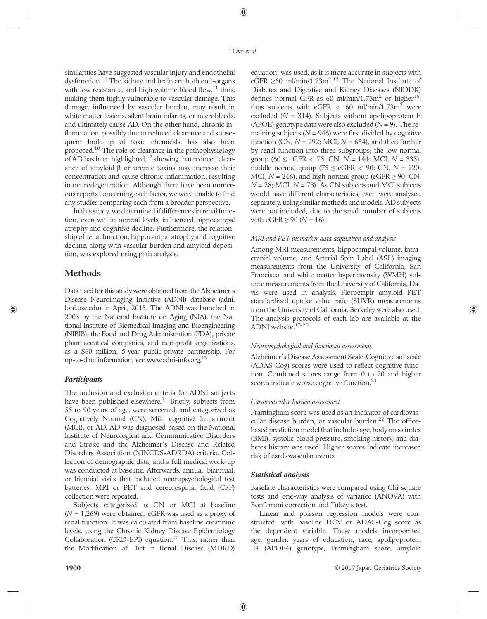similarities have suggested vascular injury and endothelial dysfunction.10 The kidney and brain are both end-organs with low resistance, and high-volume blood flow, $11$  thus, making them highly vulnerable to vascular damage. This damage, influenced by vascular burden, may result in white matter lesions, silent brain infarcts, or microbleeds, and ultimately cause AD. On the other hand, chronic inflammation, possibly due to reduced clearance and subsequent build-up of toxic chemicals, has also been proposed.10 The role of clearance in the pathophysiology of AD has been highlighted,<sup>12</sup> showing that reduced clearance of amyloid-β or uremic toxins may increase their concentration and cause chronic inflammation, resulting in neurodegeneration. Although there have been numerous reports concerning each factor, we were unable to find any studies comparing each from a broader perspective.

In this study, we determined if differences in renal function, even within normal levels, influenced hippocampal atrophy and cognitive decline. Furthermore, the relationship of renal function, hippocampal atrophy and cognitive decline, along with vascular burden and amyloid deposition, was explored using path analysis.

# Methods

Data used for this study were obtained from the Alzheimerˈs Disease Neuroimaging Initiative (ADNI) database (adni. loni.usc.edu) in April, 2015. The ADNI was launched in 2003 by the National Institute on Aging (NIA), the National Institute of Biomedical Imaging and Bioengineering (NIBIB), the Food and Drug Administration (FDA), private pharmaceutical companies, and non-profit organizations, as a \$60 million, 5-year public-private partnership. For up-to-date information, see www.adni-info.org.13

## **Participants**

The inclusion and exclusion criteria for ADNI subjects have been published elsewhere.<sup>14</sup> Briefly, subjects from 55 to 90 years of age, were screened, and categorized as Cognitively Normal (CN), Mild cognitive Impairment (MCI), or AD. AD was diagnosed based on the National Institute of Neurological and Communicative Disorders and Stroke and the Alzheimerˈs Disease and Related Disorders Association (NINCDS-ADRDA) criteria. Collection of demographic data, and a full medical work-up was conducted at baseline. Afterwards, annual, biannual, or biennial visits that included neuropsychological test batteries, MRI or PET and cerebrospinal fluid (CSF) collection were repeated.

Subjects categorized as CN or MCI at baseline  $(N = 1,269)$  were obtained. eGFR was used as a proxy of renal function. It was calculated from baseline creatinine levels, using the Chronic Kidney Disease Epidemiology Collaboration (CKD-EPI) equation.<sup>15</sup> This, rather than the Modification of Diet in Renal Disease (MDRD) equation, was used, as it is more accurate in subjects with eGFR  $\geq 60$  ml/min/1.73m<sup>2.15</sup> The National Institute of Diabetes and Digestive and Kidney Diseases (NIDDK) defines normal GFR as 60 ml/min/1.73m<sup>2</sup> or higher<sup>16</sup>; thus subjects with eGFR  $< 60$  ml/min/1.73m<sup>2</sup> were excluded ( $N = 314$ ). Subjects without apolipoprotein E (APOE) genotype data were also excluded  $(N = 9)$ . The remaining subjects ( $N = 946$ ) were first divided by cognitive function (CN,  $N = 292$ ; MCI,  $N = 654$ ), and then further by renal function into three subgroups; the low normal group (60  $\leq$  eGFR  $<$  75; CN, N = 144; MCI, N = 335), middle normal group (75  $\leq$  eGFR  $<$  90; CN,  $N = 120$ ; MCI,  $N = 246$ ), and high normal group (eGFR  $\geq 90$ ; CN,  $N = 28$ ; MCI,  $N = 73$ ). As CN subjects and MCI subjects would have different characteristics, each were analyzed separately, using similar methods and models. AD subjects were not included, due to the small number of subjects with  $eGFR \ge 90$  ( $N = 16$ ).

## MRI and PET biomarker data acquisition and analysis

Among MRI measurements, hippocampal volume, intracranial volume, and Arterial Spin Label (ASL) imaging measurements from the University of California, San Francisco, and white matter hyperintensity (WMH) volume measurements from the University of California, Davis were used in analysis. Florbetapir amyloid PET standardized uptake value ratio (SUVR) measurements from the University of California, Berkeley were also used. The analysis protocols of each lab are available at the ADNI website.17–<sup>20</sup>

## Neuropsychological and functional assessments

Alzheimerˈs Disease Assessment Scale-Cognitive subscale (ADAS-Cog) scores were used to reflect cognitive function. Combined scores range from 0 to 70 and higher scores indicate worse cognitive function.<sup>21</sup>

## Cardiovascular burden assessment

Framingham score was used as an indicator of cardiovascular disease burden, or vascular burden.<sup>22</sup> The officebased prediction model that includes age, body mass index (BMI), systolic blood pressure, smoking history, and diabetes history was used. Higher scores indicate increased risk of cardiovascular events.

## Statistical analysis

Baseline characteristics were compared using Chi-square tests and one-way analysis of variance (ANOVA) with Bonferroni correction and Tukeyˈs test.

Linear and poisson regression models were constructed, with baseline HCV or ADAS-Cog score as the dependent variable. These models incorporated age, gender, years of education, race, apolipoprotein E4 (APOE4) genotype, Framingham score, amyloid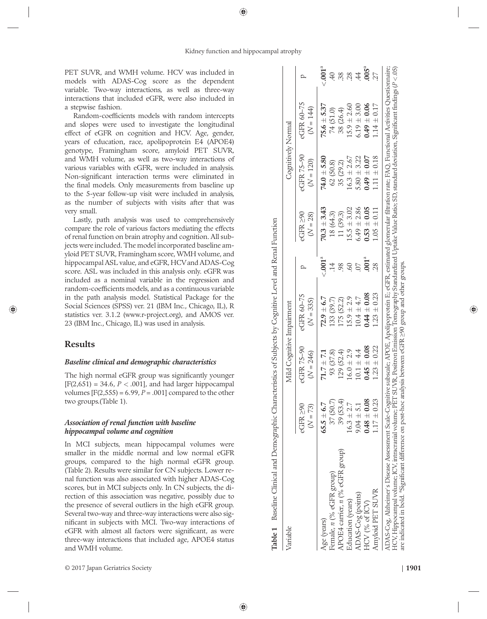PET SUVR, and WMH volume. HCV was included in models with ADAS-Cog score as the dependent variable. Two-way interactions, as well as three-way interactions that included eGFR, were also included in a stepwise fashion.

Random-coefficients models with random intercepts and slopes were used to investigate the longitudinal effect of eGFR on cognition and HCV. Age, gender, years of education, race, apolipoprotein E4 (APOE4) genotype, Framingham score, amyloid PET SUVR, and WMH volume, as well as two-way interactions of various variables with eGFR, were included in analysis. Non-signi ficant interaction terms were eliminated in the final models. Only measurements from baseline up to the 5-year follow-up visit were included in analysis, as the number of subjects with visits after that was very small.

Lastly, path analysis was used to comprehensively compare the role of various factors mediating the effects of renal function on brain atrophy and cognition. All subjects were included. The model incorporated baseline amyloid PET SUVR, Framingham score, WMH volume, and hippocampal ASL value, and eGFR, HCVand ADAS-Cog score. ASL was included in this analysis only. eGFR was included as a nominal variable in the regression and random-coefficients models, and as a continuous variable in the path analysis model. Statistical Package for the Social Sciences (SPSS) ver. 21 (IBM Inc., Chicago, IL), R statistics ver. 3.1.2 (www.r-project.org), and AMOS ver. 23 (IBM Inc., Chicago, IL) was used in analysis.

## Results

## Baseline clinical and demographic characteristics

The high normal eGFR group was signi ficantly younger  $[F(2,651) = 34.6, P < .001]$ , and had larger hippocampal volumes  $[F(2,555) = 6.99, P = .001]$  compared to the other two groups.(Table 1).

#### Association of renal function with baseline hippocampal volume and cognition

In MCI subjects, mean hippocampal volumes were smaller in the middle normal and low normal eGFR groups, compared to the high normal eGFR group. (Table 2). Results were similar for CN subjects. Lower renal function was also associated with higher ADAS-Cog scores, but in MCI subjects only. In CN subjects, the direction of this association was negative, possibly due to the presence of several outliers in the high eGFR group. Several two-way and three-way interactions were also significant in subjects with MCI. Two-way interactions of eGFR with almost all factors were signi ficant, as were three-way interactions that included age, APOE4 status and WMH volume.

| Variable                                                                                                                                                                                                                                                                                                                                                      |                              | Mild Cognitive Impairment |                                                                                                                         |                  |                         | Cognitively Normal        |                           |            |
|---------------------------------------------------------------------------------------------------------------------------------------------------------------------------------------------------------------------------------------------------------------------------------------------------------------------------------------------------------------|------------------------------|---------------------------|-------------------------------------------------------------------------------------------------------------------------|------------------|-------------------------|---------------------------|---------------------------|------------|
|                                                                                                                                                                                                                                                                                                                                                               | $eGFR \geq 90$<br>$(N = 73)$ | eGFR 75-90<br>$(N = 246)$ | eGFR 60-75<br>$(N = 335)$                                                                                               |                  | 2GFR > 90<br>$(N = 28)$ | eGFR 75-90<br>$(N = 120)$ | eGFR 60-75<br>$(N = 144)$ |            |
| Age (years)                                                                                                                                                                                                                                                                                                                                                   | $65.5 \pm 6.7$               | $71.7 \pm 7.1$            | $72.9 \pm 6.7$                                                                                                          | $\leq 0.001^{a}$ | $70.3 \pm 3.43$         | $74.0 \pm 5.80$           | $75.6 \pm 5.37$           | $-001^{a}$ |
| Female, n (% eGFR group)                                                                                                                                                                                                                                                                                                                                      | 37 (50.7)                    | 93 (37.8)                 | 133 (39.7)                                                                                                              | $\ddot{14}$      | 18 (64.3)               | 62 (50.8)                 | 74 (51.0)                 |            |
| APOE4 carrier, n (% eGFR group)                                                                                                                                                                                                                                                                                                                               | 39 (53.4)                    | 129 (52.4)                | 175 (52.2)                                                                                                              | 98               | 11 (39.3)               | 35 (29.2)                 | 38 (26.4)                 | 38.        |
| Education (years)                                                                                                                                                                                                                                                                                                                                             | $16.3 \pm 2.7$               | $16.0 \pm 2.9$            | $15.9 \pm 2.9$                                                                                                          | SO               | $15.5 \pm 3.02$         | $16.3 \pm 2.67$           | $15.9 \pm 2.60$           | .28        |
| ADAS-Cog (points)                                                                                                                                                                                                                                                                                                                                             | $9.04 \pm 5.1$               | $10.1 \pm 4.4$            | $10.4 \pm 4.7$                                                                                                          | 07               | $6.49 \pm 2.86$         | $5.80 \pm 3.22$           | $6.19 \pm 3.00$           | 4          |
| HCV (% of ICV)                                                                                                                                                                                                                                                                                                                                                | $0.48\pm0.08$                | $0.45 \pm 0.08$           | 0.08                                                                                                                    | $.001^{a}$       | $0.53 \pm 0.05$         | $0.49\pm0.07$             | $0.49\pm0.06$             | .005a      |
| Amyloid PET SUVR                                                                                                                                                                                                                                                                                                                                              | $1.17 \pm 0.23$              | $1.23 \pm 0.22$           | $1.23 \pm 0.23$                                                                                                         | 28               | $1.05 \pm 0.11$         | $1.11 \pm 0.18$           | $1.14 \pm 0.17$           |            |
| HCV, Hippocampal volume; ICV, intracranial volume; PET SUVR, Positron Emission Tomography Standardized Uptake Value Ratio; SD, standard deviation, Significant findings (P < .05)<br>are indicated in bold. "Significant difference on post-hoc analysis between eGFR 290 group and other groups.<br>ADAS-Cog, Alzheimer's Disease Assessment Scale-Cognitive |                              |                           | subscale; APOE, Apolipoprotein E; eGFR, estimated glomerular filtration rate; FAQ, Functional Activities Questionnaire; |                  |                         |                           |                           |            |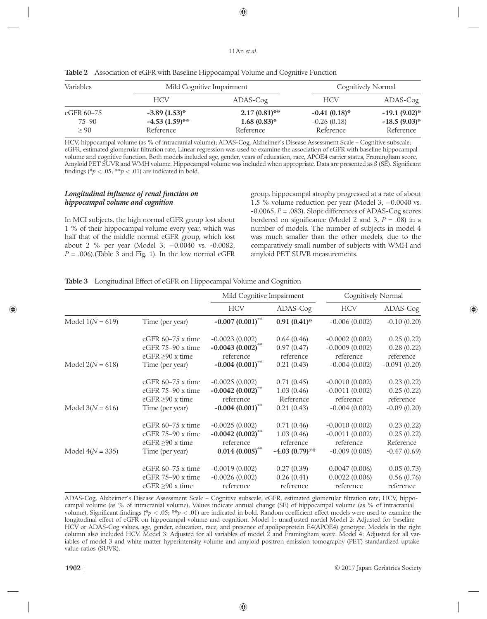| <b>Variables</b> | Mild Cognitive Impairment |                 | Cognitively Normal |                   |  |
|------------------|---------------------------|-----------------|--------------------|-------------------|--|
|                  | <b>HCV</b>                | ADAS-Cog        | <b>HCV</b>         | ADAS-Cog          |  |
| eGFR 60–75       | $-3.89(1.53)^{*}$         | $2.17(0.81)$ ** | $-0.41(0.18)$ *    | $-19.1(9.02)$ *   |  |
| $75 - 90$        | $-4.53$ (1.59)**          | $1.68(0.83)$ *  | $-0.26(0.18)$      | $-18.5(9.03)^{*}$ |  |
| $\geq 90$        | Reference                 | Reference       | Reference          | Reference         |  |

Table 2 Association of eGFR with Baseline Hippocampal Volume and Cognitive Function

HCV, hippocampal volume (as % of intracranial volume); ADAS-Cog, Alzheimerˈs Disease Assessment Scale – Cognitive subscale; eGFR, estimated glomerular filtration rate, Linear regression was used to examine the association of eGFR with baseline hippocampal volume and cognitive function. Both models included age, gender, years of education, race, APOE4 carrier status, Framingham score, Amyloid PET SUVR and WMH volume. Hippocampal volume was included when appropriate. Data are presented as ß (SE). Significant findings (\* $p < .05$ ; \*\* $p < .01$ ) are indicated in bold.

#### Longitudinal influence of renal function on hippocampal volume and cognition

In MCI subjects, the high normal eGFR group lost about 1 % of their hippocampal volume every year, which was half that of the middle normal eGFR group, which lost about 2 % per year (Model 3,  $-0.0040$  vs.  $-0.0082$ ,  $P = .006$ ).(Table 3 and Fig. 1). In the low normal eGFR group, hippocampal atrophy progressed at a rate of about 1.5 % volume reduction per year (Model 3,  $-0.0040$  vs.  $-0.0065$ ,  $P = .083$ ). Slope differences of ADAS-Cog scores bordered on significance (Model 2 and 3,  $P = .08$ ) in a number of models. The number of subjects in model 4 was much smaller than the other models, due to the comparatively small number of subjects with WMH and amyloid PET SUVR measurements.

|                    |                       | Mild Cognitive Impairment |                  | Cognitively Normal |                |
|--------------------|-----------------------|---------------------------|------------------|--------------------|----------------|
|                    |                       | <b>HCV</b>                | ADAS-Cog         | <b>HCV</b>         | ADAS-Cog       |
| Model $1(N = 619)$ | Time (per year)       | $-0.007(0.001)$ **        | $0.91(0.41)$ *   | $-0.006(0.002)$    | $-0.10(0.20)$  |
| Model $2(N = 618)$ | eGFR $60-75$ x time   | $-0.0023(0.002)$          | 0.64(0.46)       | $-0.0002(0.002)$   | 0.25(0.22)     |
|                    | eGFR 75-90 x time     | $-0.0043(0.002)^{**}$     | 0.97(0.47)       | $-0.0009(0.002)$   | 0.28(0.22)     |
|                    | $eGFR > 90$ x time    | reference                 | reference        | reference          | reference      |
|                    | Time (per year)       | $-0.004(0.001)$ **        | 0.21(0.43)       | $-0.004(0.002)$    | $-0.091(0.20)$ |
| Model $3(N = 616)$ | eGFR $60-75$ x time   | $-0.0025(0.002)$          | 0.71(0.45)       | $-0.0010(0.002)$   | 0.23(0.22)     |
|                    | eGFR 75-90 x time     | $-0.0042(0.002)$ **       | 1.03(0.46)       | $-0.0011(0.002)$   | 0.25(0.22)     |
|                    | eGFR $\geq 90$ x time | reference                 | Reference        | reference          | reference      |
|                    | Time (per year)       | $-0.004(0.001)$ **        | 0.21(0.43)       | $-0.004(0.002)$    | $-0.09(0.20)$  |
| Model $4(N = 335)$ | eGFR $60-75$ x time   | $-0.0025(0.002)$          | 0.71(0.46)       | $-0.0010(0.002)$   | 0.23(0.22)     |
|                    | eGFR 75-90 x time     | $-0.0042(0.002)$ **       | 1.03(0.46)       | $-0.0011(0.002)$   | 0.25(0.22)     |
|                    | eGFR $\geq 90$ x time | reference                 | reference        | reference          | Reference      |
|                    | Time (per year)       | $0.014(0.005)$ **         | $-4.03(0.79)$ ** | $-0.009(0.005)$    | $-0.47(0.69)$  |
|                    | eGFR $60-75$ x time   | $-0.0019(0.002)$          | 0.27(0.39)       | 0.0047(0.006)      | 0.05(0.73)     |
|                    | eGFR 75-90 x time     | $-0.0026(0.002)$          | 0.26(0.41)       | 0.0022(0.006)      | 0.56(0.76)     |
|                    | eGFR $\geq 90$ x time | reference                 | reference        | reference          | reference      |

ADAS-Cog, Alzheimerˈs Disease Assessment Scale – Cognitive subscale; eGFR, estimated glomerular filtration rate; HCV, hippocampal volume (as % of intracranial volume), Values indicate annual change (SE) of hippocampal volume (as % of intracranial volume). Significant findings (\* $p < .05$ ; \*\* $p < .01$ ) are indicated in bold. Random coefficient effect models were used to examine the longitudinal effect of eGFR on hippocampal volume and cognition. Model 1: unadjusted model Model 2: Adjusted for baseline HCV or ADAS-Cog values, age, gender, education, race, and presence of apolipoprotein E4(APOE4) genotype. Models in the right column also included HCV. Model 3: Adjusted for all variables of model 2 and Framingham score. Model 4: Adjusted for all variables of model 3 and white matter hyperintensity volume and amyloid positron emission tomography (PET) standardized uptake value ratios (SUVR).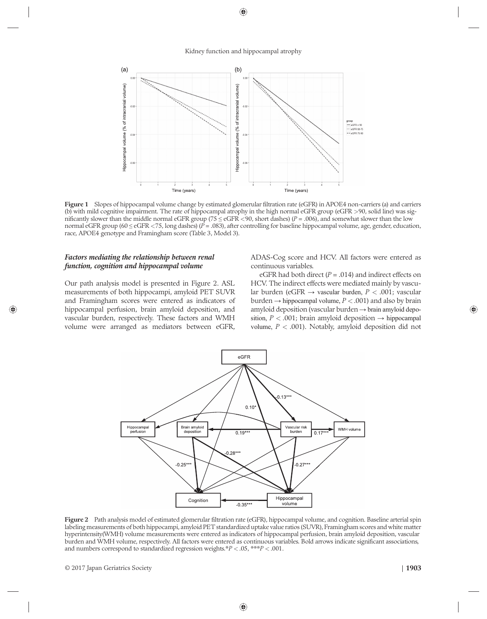

Figure 1 Slopes of hippocampal volume change by estimated glomerular filtration rate (eGFR) in APOE4 non-carriers (a) and carriers (b) with mild cognitive impairment. The rate of hippocampal atrophy in the high normal eGFR group (eGFR >90, solid line) was significantly slower than the middle normal eGFR group (75  $\leq$  eGFR  $\lt$ 90, short dashes) (P = .006), and somewhat slower than the low normal eGFR group (60  $\leq$  eGFR  $\lt$ 75, long dashes) (P = .083), after controlling for baseline hippocampal volume, age, gender, education, race, APOE4 genotype and Framingham score (Table 3, Model 3).

#### Factors mediating the relationship between renal function, cognition and hippocampal volume

Our path analysis model is presented in Figure 2. ASL measurements of both hippocampi, amyloid PET SUVR and Framingham scores were entered as indicators of hippocampal perfusion, brain amyloid deposition, and vascular burden, respectively. These factors and WMH volume were arranged as mediators between eGFR,

ADAS-Cog score and HCV. All factors were entered as continuous variables.

eGFR had both direct ( $P = .014$ ) and indirect effects on HCV. The indirect effects were mediated mainly by vascular burden (eGFR  $\rightarrow$  vascular burden,  $P < .001$ ; vascular burden  $\rightarrow$  hippocampal volume,  $P < .001$ ) and also by brain amyloid deposition (vascular burden  $\rightarrow$  brain amyloid deposition,  $P < .001$ ; brain amyloid deposition  $\rightarrow$  hippocampal volume,  $P < .001$ ). Notably, amyloid deposition did not



Figure 2 Path analysis model of estimated glomerular filtration rate (eGFR), hippocampal volume, and cognition. Baseline arterial spin labeling measurements of both hippocampi, amyloid PET standardized uptake value ratios (SUVR), Framingham scores and white matter hyperintensity(WMH) volume measurements were entered as indicators of hippocampal perfusion, brain amyloid deposition, vascular burden and WMH volume, respectively. All factors were entered as continuous variables. Bold arrows indicate significant associations, and numbers correspond to standardized regression weights.\* $P < .05$ , \*\*\* $P < .001$ .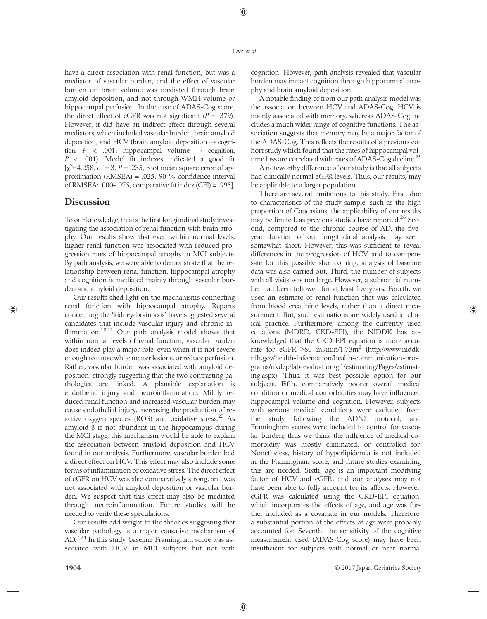have a direct association with renal function, but was a mediator of vascular burden, and the effect of vascular burden on brain volume was mediated through brain amyloid deposition, and not through WMH volume or hippocampal perfusion. In the case of ADAS-Cog score, the direct effect of eGFR was not significant ( $P = .379$ ). However, it did have an indirect effect through several mediators, which included vascular burden, brain amyloid deposition, and HCV (brain amyloid deposition  $\rightarrow$  cognition,  $P < .001$ ; hippocampal volume  $\rightarrow$  cognition,  $P < .001$ ). Model fit indexes indicated a good fit  $[\chi^2$ =4.258, df = 3, P = .235, root mean square error of approximation (RMSEA) = .025, 90 % confidence interval of RMSEA: .000–.075, comparative fit index (CFI) = .995].

## Discussion

To our knowledge, this is the first longitudinal study investigating the association of renal function with brain atrophy. Our results show that even within normal levels, higher renal function was associated with reduced progression rates of hippocampal atrophy in MCI subjects. By path analysis, we were able to demonstrate that the relationship between renal function, hippocampal atrophy and cognition is mediated mainly through vascular burden and amyloid deposition.

Our results shed light on the mechanisms connecting renal function with hippocampal atrophy. Reports concerning the 'kidney-brain axis' have suggested several candidates that include vascular injury and chronic inflammation.<sup>10,11</sup> Our path analysis model shows that within normal levels of renal function, vascular burden does indeed play a major role, even when it is not severe enough to cause white matter lesions, or reduce perfusion. Rather, vascular burden was associated with amyloid deposition, strongly suggesting that the two contrasting pathologies are linked. A plausible explanation is endothelial injury and neuroinflammation. Mildly reduced renal function and increased vascular burden may cause endothelial injury, increasing the production of reactive oxygen species (ROS) and oxidative stress. $23$  As amyloid-β is not abundant in the hippocampus during the MCI stage, this mechanism would be able to explain the association between amyloid deposition and HCV found in our analysis. Furthermore, vascular burden had a direct effect on HCV. This effect may also include some forms of inflammation or oxidative stress. The direct effect of eGFR on HCV was also comparatively strong, and was not associated with amyloid deposition or vascular burden. We suspect that this effect may also be mediated through neuroinflammation. Future studies will be needed to verify these speculations.

Our results add weight to the theories suggesting that vascular pathology is a major causative mechanism of AD.<sup>7,24</sup> In this study, baseline Framingham score was associated with HCV in MCI subjects but not with

cognition. However, path analysis revealed that vascular burden may impact cognition through hippocampal atrophy and brain amyloid deposition.

A notable finding of from our path analysis model was the association between HCV and ADAS-Cog; HCV is mainly associated with memory, whereas ADAS-Cog includes a much wider range of cognitive functions. The association suggests that memory may be a major factor of the ADAS-Cog. This reflects the results of a previous cohort study which found that the rates of hippocampal volume loss are correlated with rates of ADAS-Cog decline.<sup>25</sup>

A noteworthy difference of our study is that all subjects had clinically normal eGFR levels. Thus, our results, may be applicable to a larger population.

There are several limitations to this study. First, due to characteristics of the study sample, such as the high proportion of Caucasians, the applicability of our results may be limited, as previous studies have reported.<sup>26</sup> Second, compared to the chronic course of AD, the fiveyear duration of our longitudinal analysis may seem somewhat short. However, this was sufficient to reveal differences in the progression of HCV, and to compensate for this possible shortcoming, analysis of baseline data was also carried out. Third, the number of subjects with all visits was not large. However, a substantial number had been followed for at least five years. Fourth, we used an estimate of renal function that was calculated from blood creatinine levels, rather than a direct measurement. But, such estimations are widely used in clinical practice. Furthermore, among the currently used equations (MDRD, CKD-EPI), the NIDDK has acknowledged that the CKD-EPI equation is more accurate for eGFR  $\geq 60$  ml/min/1.73m<sup>2</sup> (http://www.niddk. nih.gov/health-information/health-communication-programs/nkdep/lab-evaluation/gfr/estimating/Pages/estimating.aspx). Thus, it was best possible option for our subjects. Fifth, comparatively poorer overall medical condition or medical comorbidities may have influenced hippocampal volume and cognition. However, subjects with serious medical conditions were excluded from the study following the ADNI protocol, and Framingham scores were included to control for vascular burden; thus we think the influence of medical comorbidity was mostly eliminated, or controlled for. Nonetheless, history of hyperlipidemia is not included in the Framingham score, and future studies examining this are needed. Sixth, age is an important modifying factor of HCV and eGFR, and our analyses may not have been able to fully account for its affects. However, eGFR was calculated using the CKD-EPI equation, which incorporates the effects of age, and age was further included as a covariate in our models. Therefore, a substantial portion of the effects of age were probably accounted for. Seventh, the sensitivity of the cognitive measurement used (ADAS-Cog score) may have been insufficient for subjects with normal or near normal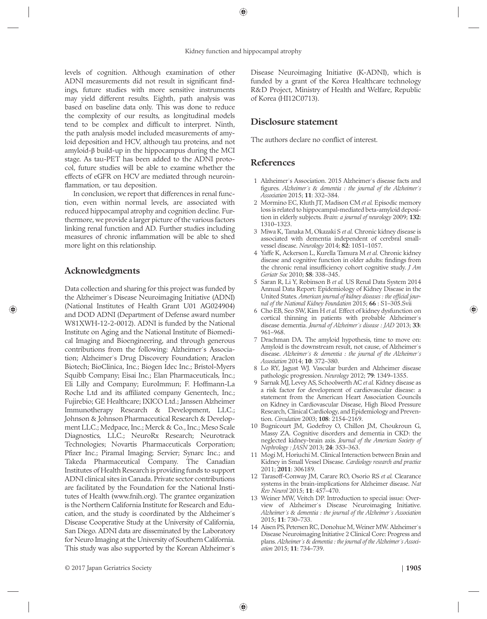levels of cognition. Although examination of other ADNI measurements did not result in significant findings, future studies with more sensitive instruments may yield different results. Eighth, path analysis was based on baseline data only. This was done to reduce the complexity of our results, as longitudinal models tend to be complex and difficult to interpret. Ninth, the path analysis model included measurements of amyloid deposition and HCV, although tau proteins, and not amyloid-β build-up in the hippocampus during the MCI stage. As tau-PET has been added to the ADNI protocol, future studies will be able to examine whether the effects of eGFR on HCV are mediated through neuroinflammation, or tau deposition.

In conclusion, we report that differences in renal function, even within normal levels, are associated with reduced hippocampal atrophy and cognition decline. Furthermore, we provide a larger picture of the various factors linking renal function and AD. Further studies including measures of chronic inflammation will be able to shed more light on this relationship.

# Acknowledgments

Data collection and sharing for this project was funded by the Alzheimerˈs Disease Neuroimaging Initiative (ADNI) (National Institutes of Health Grant U01 AG024904) and DOD ADNI (Department of Defense award number W81XWH-12-2-0012). ADNI is funded by the National Institute on Aging and the National Institute of Biomedical Imaging and Bioengineering, and through generous contributions from the following: Alzheimer's Association; Alzheimerˈs Drug Discovery Foundation; Araclon Biotech; BioClinica, Inc.; Biogen Idec Inc.; Bristol-Myers Squibb Company; Eisai Inc.; Elan Pharmaceuticals, Inc.; Eli Lilly and Company; EuroImmun; F. Hoffmann-La Roche Ltd and its affiliated company Genentech, Inc.; Fujirebio; GE Healthcare; IXICO Ltd.; Janssen Alzheimer Immunotherapy Research & Development, LLC.; Johnson & Johnson Pharmaceutical Research & Development LLC.; Medpace, Inc.; Merck & Co., Inc.; Meso Scale Diagnostics, LLC.; NeuroRx Research; Neurotrack Technologies; Novartis Pharmaceuticals Corporation; Pfizer Inc.; Piramal Imaging; Servier; Synarc Inc.; and Takeda Pharmaceutical Company. The Canadian Institutes of Health Research is providing funds to support ADNI clinical sites in Canada. Private sector contributions are facilitated by the Foundation for the National Institutes of Health (www.fnih.org). The grantee organization is the Northern California Institute for Research and Education, and the study is coordinated by the Alzheimerˈs Disease Cooperative Study at the University of California, San Diego. ADNI data are disseminated by the Laboratory for Neuro Imaging at the University of Southern California. This study was also supported by the Korean Alzheimerˈs

Disease Neuroimaging Initiative (K-ADNI), which is funded by a grant of the Korea Healthcare technology R&D Project, Ministry of Health and Welfare, Republic of Korea (HI12C0713).

## Disclosure statement

The authors declare no conflict of interest.

# References

- 1 Alzheimerˈs Association. 2015 Alzheimerˈs disease facts and figures. Alzheimer's & dementia : the journal of the Alzheimer's Association 2015; 11: 332–384.
- 2 Mormino EC, Kluth JT, Madison CM et al. Episodic memory loss is related to hippocampal-mediated beta-amyloid deposition in elderly subjects. Brain: a journal of neurology 2009; 132: 1310–1323.
- 3 Miwa K, Tanaka M, Okazaki S et al. Chronic kidney disease is associated with dementia independent of cerebral smallvessel disease. Neurology 2014; 82: 1051–1057.
- 4 Yaffe K, Ackerson L, Kurella Tamura M et al. Chronic kidney disease and cognitive function in older adults: findings from the chronic renal insufficiency cohort cognitive study. J Am Geriatr Soc 2010; 58: 338–345.
- 5 Saran R, Li Y, Robinson B et al. US Renal Data System 2014 Annual Data Report: Epidemiology of Kidney Disease in the United States. American journal of kidney diseases : the official journal of the National Kidney Foundation 2015; 66 : S1–305.Svii
- 6 Cho EB, Seo SW, Kim H et al. Effect of kidney dysfunction on cortical thinning in patients with probable Alzheimerˈs disease dementia. Journal of Alzheimer's disease : JAD 2013; 33: 961–968.
- 7 Drachman DA. The amyloid hypothesis, time to move on: Amyloid is the downstream result, not cause, of Alzheimerˈs disease. Alzheimer's & dementia : the journal of the Alzheimer's Association 2014; 10: 372–380.
- 8 Lo RY, Jagust WJ. Vascular burden and Alzheimer disease pathologic progression. Neurology 2012; 79: 1349–1355.
- 9 Sarnak MJ, Levey AS, Schoolwerth AC et al. Kidney disease as a risk factor for development of cardiovascular disease: a statement from the American Heart Association Councils on Kidney in Cardiovascular Disease, High Blood Pressure Research, Clinical Cardiology, and Epidemiology and Prevention. Circulation 2003; 108: 2154–2169.
- 10 Bugnicourt JM, Godefroy O, Chillon JM, Choukroun G, Massy ZA. Cognitive disorders and dementia in CKD: the neglected kidney-brain axis. Journal of the American Society of Nephrology : JASN 2013; 24: 353–363.
- 11 Mogi M, Horiuchi M. Clinical Interaction between Brain and Kidney in Small Vessel Disease. Cardiology research and practice 2011; 2011: 306189.
- 12 Tarasoff-Conway JM, Carare RO, Osorio RS et al. Clearance systems in the brain-implications for Alzheimer disease. Nat Rev Neurol 2015; 11: 457–470.
- 13 Weiner MW, Veitch DP. Introduction to special issue: Overview of Alzheimer's Disease Neuroimaging Initiative. Alzheimer's & dementia : the journal of the Alzheimer's Association 2015; 11: 730–733.
- 14 Aisen PS, Petersen RC, Donohue M, Weiner MW. Alzheimerˈs Disease Neuroimaging Initiative 2 Clinical Core: Progress and plans. Alzheimer's & dementia : the journal of the Alzheimer's Association 2015; 11: 734–739.